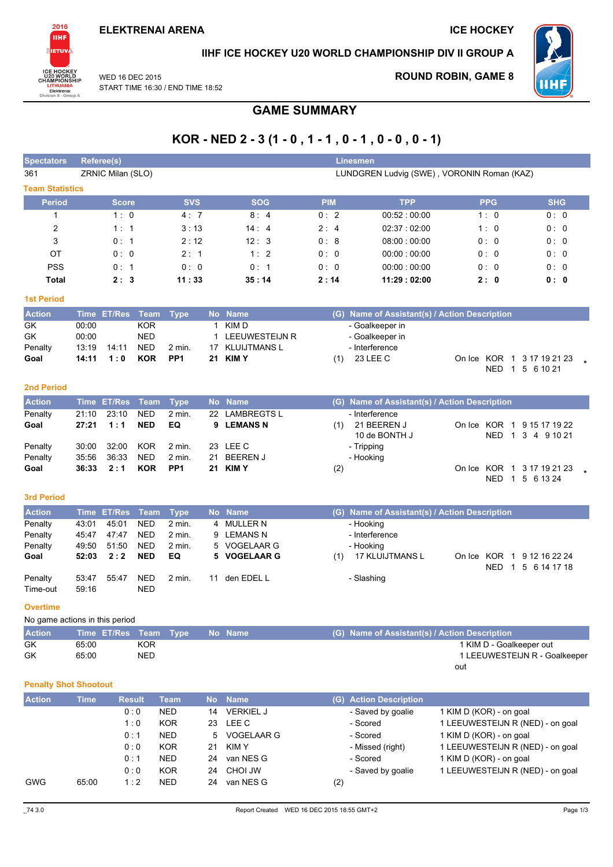

### IIHF ICE HOCKEY U20 WORLD CHAMPIONSHIP DIV II GROUP A

WED 16 DEC 2015 START TIME 16:30 / END TIME 18:52

### **ROUND ROBIN, GAME 8**



# **GAME SUMMARY**

# KOR - NED  $2 - 3(1 - 0, 1 - 1, 0 - 1, 0 - 0, 0 - 1)$

| <b>Spectators</b>              |                | <b>Referee(s)</b> |                           |                 |    |                       |            | Linesmen                                                         |                                            |                               |
|--------------------------------|----------------|-------------------|---------------------------|-----------------|----|-----------------------|------------|------------------------------------------------------------------|--------------------------------------------|-------------------------------|
| 361                            |                | ZRNIC Milan (SLO) |                           |                 |    |                       |            |                                                                  | LUNDGREN Ludvig (SWE), VORONIN Roman (KAZ) |                               |
| <b>Team Statistics</b>         |                |                   |                           |                 |    |                       |            |                                                                  |                                            |                               |
| <b>Period</b>                  |                | <b>Score</b>      |                           | <b>SVS</b>      |    | <b>SOG</b>            | <b>PIM</b> | <b>TPP</b>                                                       | <b>PPG</b>                                 | <b>SHG</b>                    |
| $\mathbf{1}$                   |                | 1:0               |                           | 4:7             |    | 8:4                   | 0:2        | 00:52:00:00                                                      | 1:0                                        | 0: 0                          |
| 2                              |                | 1:1               |                           | 3:13            |    | 14:4                  | 2:4        | 02:37:02:00                                                      | 1:0                                        | 0:0                           |
| 3                              |                | 0: 1              |                           | 2:12            |    | 12:3                  | 0:8        | 08:00:00:00                                                      | 0: 0                                       | 0: 0                          |
| ОT                             |                | 0:0               |                           | 2:1             |    | 1:2                   | 0:0        | 00:00:00:00                                                      | 0: 0                                       | 0:0                           |
| <b>PSS</b>                     |                | 0: 1              |                           | 0:0             |    | 0:1                   | 0:0        | 00:00:00:00                                                      | 0:0                                        | 0:0                           |
| <b>Total</b>                   |                | 2:3               |                           | 11:33           |    | 35:14                 | 2:14       | 11:29:02:00                                                      | 2:0                                        | 0: 0                          |
| <b>1st Period</b>              |                |                   |                           |                 |    |                       |            |                                                                  |                                            |                               |
| <b>Action</b>                  |                |                   |                           |                 |    |                       |            |                                                                  |                                            |                               |
| GK                             | 00:00          | Time ET/Res       | <b>Team</b><br><b>KOR</b> | <b>Type</b>     |    | No Name<br>1 KIMD     |            | (G) Name of Assistant(s) / Action Description<br>- Goalkeeper in |                                            |                               |
| GK                             | 00:00          |                   | <b>NED</b>                |                 |    | <b>LEEUWESTEIJN R</b> |            | - Goalkeeper in                                                  |                                            |                               |
| Penalty                        | 13:19          | 14:11             | <b>NED</b>                | 2 min.          | 17 | <b>KLUIJTMANS L</b>   |            | - Interference                                                   |                                            |                               |
| Goal                           | 14:11          | 1:0               | <b>KOR</b>                | PP <sub>1</sub> | 21 | <b>KIMY</b>           | (1)        | 23 LEE C                                                         | On Ice KOR 1 3 17 19 21 23                 |                               |
|                                |                |                   |                           |                 |    |                       |            |                                                                  | NED 1 5 6 10 21                            |                               |
| <b>2nd Period</b>              |                |                   |                           |                 |    |                       |            |                                                                  |                                            |                               |
| <b>Action</b>                  |                | Time ET/Res       | <b>Team</b>               | <b>Type</b>     |    | No Name               |            | (G) Name of Assistant(s) / Action Description                    |                                            |                               |
| Penalty                        | 21:10          | 23:10             | <b>NED</b>                | $2$ min.        | 22 | <b>LAMBREGTS L</b>    |            | - Interference                                                   |                                            |                               |
| Goal                           | 27:21          | 1:1               | <b>NED</b>                | EQ              | 9  | <b>LEMANS N</b>       | (1)        | 21 BEEREN J                                                      | On Ice KOR 1 9 15 17 19 22                 |                               |
|                                |                |                   |                           |                 |    |                       |            | 10 de BONTH J                                                    |                                            | NED 1 3 4 9 10 21             |
| Penalty                        | 30:00          | 32:00             | <b>KOR</b>                | 2 min.          |    | 23 LEE C              |            | - Tripping                                                       |                                            |                               |
| Penalty                        | 35:56          | 36:33             | <b>NED</b>                | 2 min.          | 21 | <b>BEEREN J</b>       |            | - Hooking                                                        |                                            |                               |
| Goal                           | 36:33          | 2:1               | <b>KOR</b>                | PP <sub>1</sub> |    | 21 KIMY               | (2)        |                                                                  | On Ice KOR 1 3 17 19 21 23                 |                               |
|                                |                |                   |                           |                 |    |                       |            |                                                                  |                                            | NED 1 5 6 13 24               |
| <b>3rd Period</b>              |                |                   |                           |                 |    |                       |            |                                                                  |                                            |                               |
| <b>Action</b>                  | <b>Time</b>    | <b>ET/Res</b>     | <b>Team</b>               | <b>Type</b>     |    | No Name               |            | (G) Name of Assistant(s) / Action Description                    |                                            |                               |
| Penalty                        | 43:01          | 45:01             | <b>NED</b>                | 2 min.          | 4  | <b>MULLER N</b>       |            | - Hooking                                                        |                                            |                               |
| Penalty                        | 45:47          | 47:47             | <b>NED</b>                | 2 min.          | 9  | <b>LEMANS N</b>       |            | - Interference                                                   |                                            |                               |
| Penalty                        | 49:50          | 51:50             | <b>NED</b>                | 2 min.          | 5  | <b>VOGELAAR G</b>     |            | - Hooking                                                        |                                            |                               |
| Goal                           | 52:03          | 2:2               | <b>NED</b>                | EQ              | 5  | <b>VOGELAAR G</b>     | (1)        | <b>17 KLUIJTMANS L</b>                                           | On Ice KOR 1 9 12 16 22 24                 |                               |
|                                |                |                   |                           |                 |    |                       |            |                                                                  | NED                                        | 1 5 6 14 17 18                |
| Penalty<br>Time-out            | 53:47<br>59:16 | 55:47             | <b>NED</b><br><b>NED</b>  | 2 min.          |    | 11 den EDEL L         |            | - Slashing                                                       |                                            |                               |
|                                |                |                   |                           |                 |    |                       |            |                                                                  |                                            |                               |
| <b>Overtime</b>                |                |                   |                           |                 |    |                       |            |                                                                  |                                            |                               |
| No game actions in this period |                |                   |                           |                 |    |                       |            |                                                                  |                                            |                               |
| <b>Action</b>                  |                | Time ET/Res       | <b>Team</b>               | <b>Type</b>     |    | No Name               |            | (G) Name of Assistant(s) / Action Description                    |                                            |                               |
| GK                             | 65:00          |                   | <b>KOR</b>                |                 |    |                       |            |                                                                  | 1 KIM D - Goalkeeper out                   |                               |
| GK                             | 65:00          |                   | <b>NED</b>                |                 |    |                       |            |                                                                  | out                                        | 1 LEEUWESTEIJN R - Goalkeeper |
|                                |                |                   |                           |                 |    |                       |            |                                                                  |                                            |                               |
| <b>Penalty Shot Shootout</b>   |                |                   |                           |                 |    |                       |            |                                                                  |                                            |                               |
| <b>Action</b>                  | <b>Time</b>    |                   | <b>Result</b>             | <b>Team</b>     |    | No Name               |            | (G) Action Description                                           |                                            |                               |
|                                |                |                   | 0:0                       | <b>NED</b>      | 14 | <b>VERKIEL J</b>      |            | - Saved by goalie                                                | 1 KIM D (KOR) - on goal                    |                               |
|                                |                |                   | 1:0                       | <b>KOR</b>      | 23 | LEE C                 |            | - Scored                                                         | 1 LEEUWESTEIJN R (NED) - on goal           |                               |
|                                |                |                   | 0:1                       | <b>NED</b>      | 5  | VOGELAAR G            |            | - Scored                                                         | 1 KIM D (KOR) - on goal                    |                               |
|                                |                |                   | 0:0                       | <b>KOR</b>      | 21 | <b>KIMY</b>           |            | - Missed (right)                                                 | 1 LEEUWESTEIJN R (NED) - on goal           |                               |
|                                |                |                   | 0:1                       | <b>NED</b>      | 24 | van NES G             |            | - Scored                                                         | 1 KIM D (KOR) - on goal                    |                               |
|                                |                |                   | 0:0                       | <b>KOR</b>      |    | 24 CHOI JW            |            | - Saved by goalie                                                | 1 LEEUWESTEIJN R (NED) - on goal           |                               |

GWG

 $0:0$ 

 $1:2$ 

65:00

**NED** 

24 van NES G

 $(2)$ 

- Saved by goalie

1 LEEUWESTEIJN R (NED) - on goal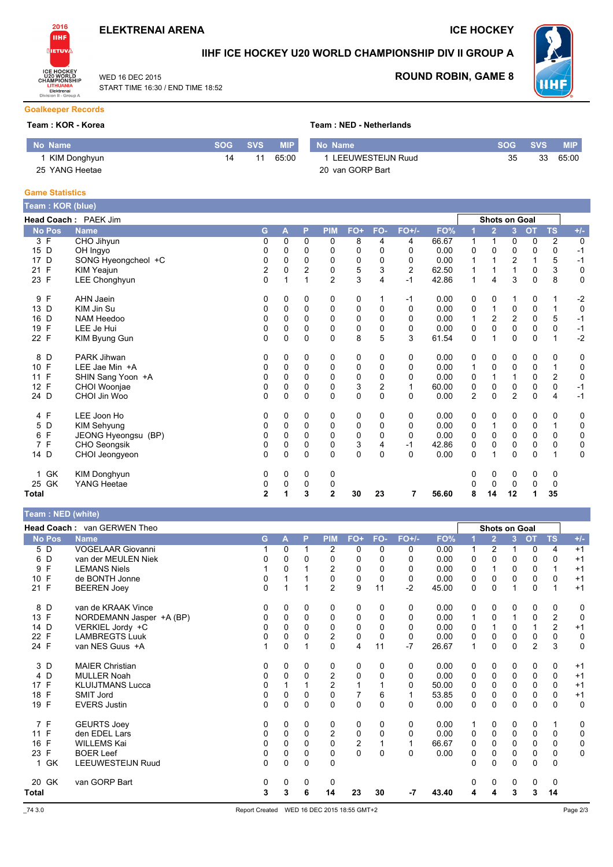

START TIME 16:30 / END TIME 18:52

WED 16 DEC 2015

**ICE HOCKEY** 

**SOG** 

35



### IIHF ICE HOCKEY U20 WORLD CHAMPIONSHIP DIV II GROUP A



**SVS** 

33

 $MIP$ 

65:00

**ROUND ROBIN, GAME 8** 

### **Goalkeeper Records**

#### Team: KOR - Korea

|  |  |  |  |  | Team : NED - Netherlands |  |
|--|--|--|--|--|--------------------------|--|
|--|--|--|--|--|--------------------------|--|

| No Name        | SOG SVS |    | <b>MIP</b> | l No Name'          |
|----------------|---------|----|------------|---------------------|
| 1 KIM Donghyun | 14      | 11 | 65.00      | 1 LEEUWESTEIJN Ruud |
| 25 YANG Heetae |         |    |            | 20 van GORP Bart    |

#### **Game Statistics**

| Team : KOR (blue) |                      |              |             |              |                |             |                |                |       |                |                      |                |             |                |             |
|-------------------|----------------------|--------------|-------------|--------------|----------------|-------------|----------------|----------------|-------|----------------|----------------------|----------------|-------------|----------------|-------------|
|                   | Head Coach: PAEK Jim |              |             |              |                |             |                |                |       |                | <b>Shots on Goal</b> |                |             |                |             |
| <b>No Pos</b>     | <b>Name</b>          | G            | A           | P            | <b>PIM</b>     | FO+         | FO-            | $FO+/-$        | FO%   |                | $\overline{2}$       | 3              | <b>OT</b>   | <b>TS</b>      | $+/-$       |
| 3 F               | CHO Jihyun           | 0            | 0           | 0            | 0              | 8           | 4              | 4              | 66.67 | 1              | 1                    | 0              | 0           | $\overline{c}$ | 0           |
| D<br>15           | OH Ingyo             | 0            | 0           | 0            | 0              | 0           | 0              | $\Omega$       | 0.00  | 0              | 0                    | 0              | 0           | 0              | $-1$        |
| D<br>17           | SONG Hyeongcheol +C  | 0            | $\mathbf 0$ | $\Omega$     | 0              | 0           | 0              | 0              | 0.00  | 1              |                      | $\overline{2}$ | 1           | 5              | $-1$        |
| F<br>21           | KIM Yeajun           | 2            | 0           | 2            | 0              | 5           | 3              | $\overline{2}$ | 62.50 | 1              |                      | 1              | 0           | 3              | 0           |
| 23 F              | LEE Chonghyun        | $\Omega$     | 1           |              | $\overline{2}$ | 3           | 4              | $-1$           | 42.86 | 1              | 4                    | 3              | $\Omega$    | 8              | $\mathbf 0$ |
| F<br>9            | AHN Jaein            | 0            | 0           | 0            | 0              | 0           |                | -1             | 0.00  | 0              | 0                    |                | 0           | 1              | $-2$        |
| D<br>13           | KIM Jin Su           | 0            | 0           | 0            | 0              | $\mathbf 0$ | 0              | 0              | 0.00  | 0              | 1                    | 0              | $\pmb{0}$   | $\mathbf{1}$   | $\mathbf 0$ |
| 16<br>D           | NAM Heedoo           | 0            | 0           | 0            | 0              | 0           | 0              | 0              | 0.00  | 1              | $\overline{c}$       | $\overline{c}$ | 0           | 5              | $-1$        |
| F<br>19           | LEE Je Hui           | 0            | $\Omega$    | $\Omega$     | 0              | 0           | 0              | $\Omega$       | 0.00  | 0              | $\Omega$             | $\Omega$       | 0           | 0              | $-1$        |
| F<br>22           | KIM Byung Gun        | 0            | $\mathbf 0$ | 0            | $\mathbf 0$    | 8           | 5              | 3              | 61.54 | 0              |                      | 0              | $\mathbf 0$ |                | $-2$        |
| 8<br>D            | PARK Jihwan          | 0            | 0           | 0            | 0              | 0           | 0              | 0              | 0.00  | 0              | 0                    | 0              | 0           | 0              | 0           |
| F<br>10           | LEE Jae Min +A       | 0            | 0           | $\mathbf 0$  | $\mathbf 0$    | $\mathbf 0$ | 0              | 0              | 0.00  | 1              | $\mathbf 0$          | $\mathbf 0$    | 0           | 1              | 0           |
| $\mathsf F$<br>11 | SHIN Sang Yoon +A    | 0            | 0           | 0            | 0              | 0           | 0              | $\Omega$       | 0.00  | 0              |                      | 1              | 0           | 2              | 0           |
| F<br>12           | CHOI Woonjae         | 0            | 0           | 0            | $\mathbf 0$    | 3           | $\overline{2}$ | 1              | 60.00 | 0              | $\mathbf 0$          | 0              | 0           | 0              | $-1$        |
| 24 D              | CHOI Jin Woo         | 0            | $\Omega$    | $\Omega$     | $\Omega$       | $\Omega$    | $\Omega$       | $\Omega$       | 0.00  | $\overline{2}$ | $\Omega$             | $\overline{2}$ | $\Omega$    | $\overline{4}$ | $-1$        |
| 4 F               | LEE Joon Ho          | 0            | 0           | 0            | 0              | 0           | 0              | 0              | 0.00  | 0              | 0                    | 0              | 0           | 0              | 0           |
| D<br>5            | KIM Sehyung          | 0            | 0           | $\mathbf 0$  | 0              | 0           | 0              | 0              | 0.00  | 0              | $\mathbf{1}$         | $\mathbf 0$    | 0           | 1              | 0           |
| F<br>6            | JEONG Hyeongsu (BP)  | 0            | 0           | 0            | $\mathbf 0$    | $\mathbf 0$ | 0              | 0              | 0.00  | 0              | $\mathbf 0$          | 0              | $\mathbf 0$ | 0              | 0           |
| F<br>7            | CHO Seongsik         | 0            | $\mathbf 0$ | $\Omega$     | 0              | 3           | 4              | -1             | 42.86 | 0              | $\mathbf 0$          | 0              | 0           | 0              | 0           |
| 14 D              | CHOI Jeongyeon       | 0            | 0           | $\Omega$     | $\Omega$       | 0           | 0              | $\Omega$       | 0.00  | 0              |                      | $\Omega$       | $\mathbf 0$ | 1              | $\mathbf 0$ |
| GK<br>1           | KIM Donghyun         | 0            | 0           | 0            | 0              |             |                |                |       | 0              | 0                    | 0              | 0           | 0              |             |
| GK<br>25          | YANG Heetae          | 0            | 0           | $\mathbf{0}$ | 0              |             |                |                |       |                | 0                    | 0              | 0           | 0              |             |
| Total             |                      | $\mathbf{2}$ |             | 3            | $\mathbf{2}$   | 30          | 23             | 7              | 56.60 | 8              | 14                   | 12             |             | 35             |             |

| Team: NED (white |  |
|------------------|--|
|                  |  |

|              | <b>Head Coach: van GERWEN Theo</b> |   |          |          |                |                         |          |          |       |   | Shots on Goal  |                |                |                         |             |
|--------------|------------------------------------|---|----------|----------|----------------|-------------------------|----------|----------|-------|---|----------------|----------------|----------------|-------------------------|-------------|
| No Pos       | <b>Name</b>                        | G | А        | P        | <b>PIM</b>     | FO+                     | FO-      | $FO+/-$  | FO%   |   | $\overline{2}$ | $\overline{3}$ | <b>OT</b>      | <b>TS</b>               | $+/-$       |
| 5 D          | <b>VOGELAAR Giovanni</b>           |   | $\Omega$ |          | 2              | $\mathbf{0}$            | 0        | 0        | 0.00  | 1 | $\overline{c}$ |                | $\Omega$       | 4                       | $+1$        |
| 6 D          | van der MEULEN Niek                | 0 | 0        | 0        | 0              | 0                       | $\Omega$ | $\Omega$ | 0.00  | 0 | $\Omega$       | 0              | 0              | $\Omega$                | $+1$        |
| F<br>9       | <b>LEMANS Niels</b>                |   | $\Omega$ |          | $\overline{2}$ | 0                       | 0        | $\Omega$ | 0.00  | 0 | 1              | $\Omega$       | 0              | 1                       | $+1$        |
| F<br>10      | de BONTH Jonne                     | 0 |          |          | 0              | $\Omega$                | $\Omega$ | $\Omega$ | 0.00  | 0 | $\Omega$       | $\Omega$       | 0              | $\Omega$                | $+1$        |
| 21 F         | <b>BEEREN Joey</b>                 | 0 |          |          | $\overline{2}$ | 9                       | 11       | $-2$     | 45.00 | 0 | $\Omega$       |                | 0              |                         | $+1$        |
| 8 D          | van de KRAAK Vince                 | 0 | 0        | 0        | 0              | 0                       | 0        | 0        | 0.00  | 0 | 0              | 0              | 0              | 0                       | 0           |
| 13 F         | NORDEMANN Jasper +A (BP)           | 0 | $\Omega$ | $\Omega$ | 0              | 0                       | $\Omega$ | 0        | 0.00  | 1 | $\mathbf 0$    |                | 0              | $\overline{\mathbf{c}}$ | $\mathbf 0$ |
| 14 D         | VERKIEL Jordy +C                   | 0 | $\Omega$ | $\Omega$ | 0              | 0                       | 0        | 0        | 0.00  | 0 |                | 0              |                | $\overline{2}$          | $+1$        |
| 22 F         | <b>LAMBREGTS Luuk</b>              | 0 | $\Omega$ | 0        | $\overline{2}$ | 0                       | $\Omega$ | $\Omega$ | 0.00  | 0 | $\Omega$       | 0              | 0              | $\Omega$                | $\mathbf 0$ |
| 24 F         | van NES Guus +A                    |   | $\Omega$ |          | $\Omega$       | 4                       | 11       | $-7$     | 26.67 | 1 | $\Omega$       | 0              | $\overline{c}$ | 3                       | $\mathbf 0$ |
| 3 D          | <b>MAIER Christian</b>             | 0 | $\Omega$ | $\Omega$ | 0              | 0                       | 0        | 0        | 0.00  | 0 | 0              | 0              | 0              | 0                       | $+1$        |
| 4 D          | <b>MULLER Noah</b>                 | 0 | $\Omega$ | 0        | $\overline{c}$ | 0                       | 0        | $\Omega$ | 0.00  | 0 | 0              | 0              | 0              | 0                       | $+1$        |
| 17 F         | <b>KLUIJTMANS Lucca</b>            | 0 |          |          | $\overline{2}$ |                         |          | $\Omega$ | 50.00 | 0 | $\Omega$       | $\Omega$       | 0              | $\mathbf 0$             | $+1$        |
| 18 F         | <b>SMIT Jord</b>                   | 0 | $\Omega$ | 0        | 0              | 7                       | 6        |          | 53.85 | 0 | $\Omega$       | 0              | 0              | 0                       | $+1$        |
| 19 F         | <b>EVERS Justin</b>                | 0 | 0        | 0        | 0              | 0                       | $\Omega$ | $\Omega$ | 0.00  | 0 | 0              | 0              | 0              | 0                       | 0           |
| 7 F          | <b>GEURTS Joey</b>                 | 0 | $\Omega$ | 0        | 0              | 0                       | 0        | 0        | 0.00  | 1 | 0              | 0              | 0              | 1                       | 0           |
| F<br>11      | den EDEL Lars                      | 0 | $\Omega$ | $\Omega$ | $\overline{c}$ | 0                       | $\Omega$ | $\Omega$ | 0.00  | 0 | 0              | 0              | 0              | 0                       | 0           |
| F<br>16      | WILLEMS Kai                        | 0 | $\Omega$ | 0        | $\mathbf 0$    | $\overline{\mathbf{c}}$ |          |          | 66.67 | 0 | $\mathbf 0$    | $\Omega$       | 0              | $\mathbf 0$             | 0           |
| 23 F         | <b>BOER Leef</b>                   | 0 | $\Omega$ | 0        | 0              | $\overline{0}$          | $\Omega$ | $\Omega$ | 0.00  | 0 | $\mathbf 0$    | 0              | 0              | 0                       | $\mathbf 0$ |
| 1 GK         | LEEUWESTEIJN Ruud                  | 0 | $\Omega$ | 0        | 0              |                         |          |          |       | 0 | $\Omega$       | 0              | 0              | $\Omega$                |             |
| 20 GK        | van GORP Bart                      | 0 | 0        | 0        | 0              |                         |          |          |       | 0 | 0              | 0              | 0              | 0                       |             |
| <b>Total</b> |                                    | 3 | 3        | 6        | 14             | 23                      | 30       | -7       | 43.40 | 4 | 4              | 3              | 3              | 14                      |             |